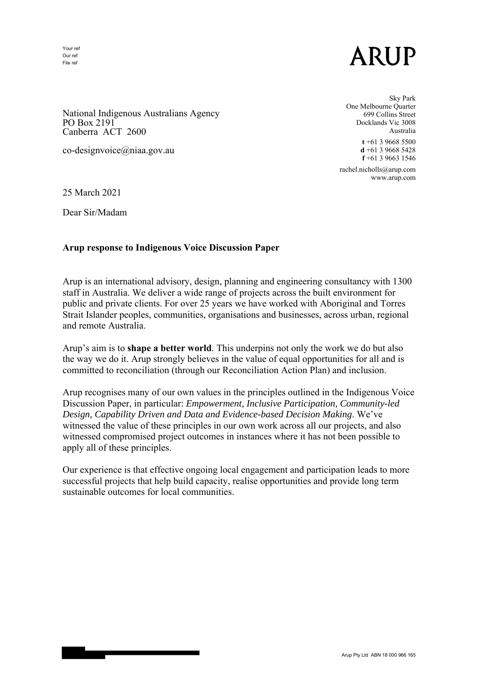Your ref Our ref File ref

## ARUP

National Indigenous Australians Agency PO Box 2191 Canberra ACT 2600

co-designvoice@niaa.gov.au

 Sky Park One Melbourne Quarter 699 Collins Street Docklands Vic 3008 Australia **t** +61 3 9668 5500 **d** +61 3 9668 5428 **f** +61 3 9663 1546

> rachel.nicholls@arup.com www.arup.com

25 March 2021

Dear Sir/Madam

## **Arup response to Indigenous Voice Discussion Paper**

Arup is an international advisory, design, planning and engineering consultancy with 1300 staff in Australia. We deliver a wide range of projects across the built environment for public and private clients. For over 25 years we have worked with Aboriginal and Torres Strait Islander peoples, communities, organisations and businesses, across urban, regional and remote Australia.

Arup's aim is to **shape a better world**. This underpins not only the work we do but also the way we do it. Arup strongly believes in the value of equal opportunities for all and is committed to reconciliation (through our Reconciliation Action Plan) and inclusion.

Arup recognises many of our own values in the principles outlined in the Indigenous Voice Discussion Paper, in particular: *Empowerment, Inclusive Participation, Community-led Design, Capability Driven and Data and Evidence-based Decision Making*. We've witnessed the value of these principles in our own work across all our projects, and also witnessed compromised project outcomes in instances where it has not been possible to apply all of these principles.

Our experience is that effective ongoing local engagement and participation leads to more successful projects that help build capacity, realise opportunities and provide long term sustainable outcomes for local communities.